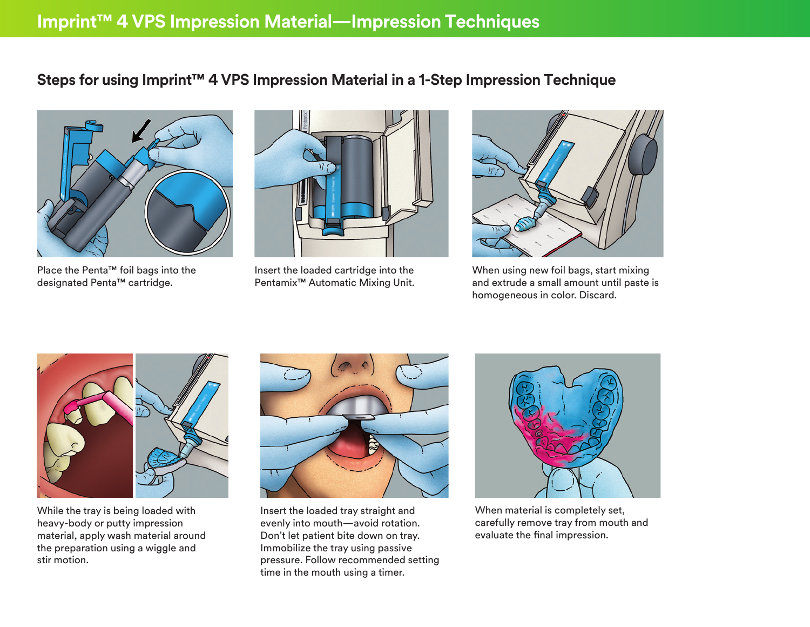## **Steps for using Imprint™ 4 VPS Impression Material in a 1-Step Impression Technique**



Place the Penta™ foil bags into the designated Penta™ cartridge.



Insert the loaded cartridge into the Pentamix™ Automatic Mixing Unit.



When using new foil bags, start mixing and extrude a small amount until paste is homogeneous in color. Discard.



While the tray is being loaded with heavy-body or putty impression material, apply wash material around the preparation using a wiggle and stir motion.



Insert the loaded tray straight and evenly into mouth—avoid rotation. Don't let patient bite down on tray. Immobilize the tray using passive pressure. Follow recommended setting time in the mouth using a timer.



When material is completely set, carefully remove tray from mouth and evaluate the final impression.